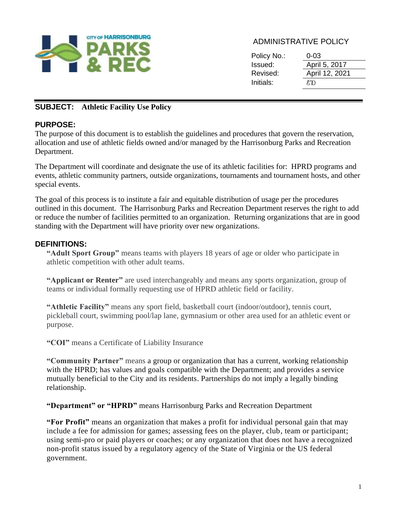

## ADMINISTRATIVE POLICY

| Policy No.: | 0-03           |
|-------------|----------------|
| Issued:     | April 5, 2017  |
| Revised:    | April 12, 2021 |
| Initials:   | E N            |

# **SUBJECT: Athletic Facility Use Policy**

### **PURPOSE:**

The purpose of this document is to establish the guidelines and procedures that govern the reservation, allocation and use of athletic fields owned and/or managed by the Harrisonburg Parks and Recreation Department.

The Department will coordinate and designate the use of its athletic facilities for: HPRD programs and events, athletic community partners, outside organizations, tournaments and tournament hosts, and other special events.

The goal of this process is to institute a fair and equitable distribution of usage per the procedures outlined in this document. The Harrisonburg Parks and Recreation Department reserves the right to add or reduce the number of facilities permitted to an organization. Returning organizations that are in good standing with the Department will have priority over new organizations.

#### **DEFINITIONS:**

**"Adult Sport Group"** means teams with players 18 years of age or older who participate in athletic competition with other adult teams.

**"Applicant or Renter"** are used interchangeably and means any sports organization, group of teams or individual formally requesting use of HPRD athletic field or facility.

**"Athletic Facility"** means any sport field, basketball court (indoor/outdoor), tennis court, pickleball court, swimming pool/lap lane, gymnasium or other area used for an athletic event or purpose.

**"COI"** means a Certificate of Liability Insurance

**"Community Partner"** means a group or organization that has a current, working relationship with the HPRD; has values and goals compatible with the Department; and provides a service mutually beneficial to the City and its residents. Partnerships do not imply a legally binding relationship.

**"Department" or "HPRD"** means Harrisonburg Parks and Recreation Department

**"For Profit"** means an organization that makes a profit for individual personal gain that may include a fee for admission for games; assessing fees on the player, club, team or participant; using semi-pro or paid players or coaches; or any organization that does not have a recognized non-profit status issued by a regulatory agency of the State of Virginia or the US federal government.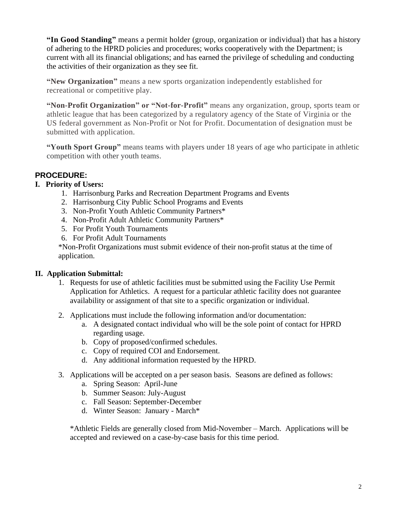**"In Good Standing"** means a permit holder (group, organization or individual) that has a history of adhering to the HPRD policies and procedures; works cooperatively with the Department; is current with all its financial obligations; and has earned the privilege of scheduling and conducting the activities of their organization as they see fit.

**"New Organization"** means a new sports organization independently established for recreational or competitive play.

**"Non-Profit Organization" or "Not-for-Profit"** means any organization, group, sports team or athletic league that has been categorized by a regulatory agency of the State of Virginia or the US federal government as Non-Profit or Not for Profit. Documentation of designation must be submitted with application.

**"Youth Sport Group"** means teams with players under 18 years of age who participate in athletic competition with other youth teams.

### **PROCEDURE:**

#### **I. Priority of Users:**

- 1. Harrisonburg Parks and Recreation Department Programs and Events
- 2. Harrisonburg City Public School Programs and Events
- 3. Non-Profit Youth Athletic Community Partners\*
- 4. Non-Profit Adult Athletic Community Partners\*
- 5. For Profit Youth Tournaments
- 6. For Profit Adult Tournaments

\*Non-Profit Organizations must submit evidence of their non-profit status at the time of application.

### **II. Application Submittal:**

- 1. Requests for use of athletic facilities must be submitted using the Facility Use Permit Application for Athletics. A request for a particular athletic facility does not guarantee availability or assignment of that site to a specific organization or individual.
- 2. Applications must include the following information and/or documentation:
	- a. A designated contact individual who will be the sole point of contact for HPRD regarding usage.
	- b. Copy of proposed/confirmed schedules.
	- c. Copy of required COI and Endorsement.
	- d. Any additional information requested by the HPRD.
- 3. Applications will be accepted on a per season basis. Seasons are defined as follows:
	- a. Spring Season: April-June
	- b. Summer Season: July-August
	- c. Fall Season: September-December
	- d. Winter Season: January March\*

\*Athletic Fields are generally closed from Mid-November – March. Applications will be accepted and reviewed on a case-by-case basis for this time period.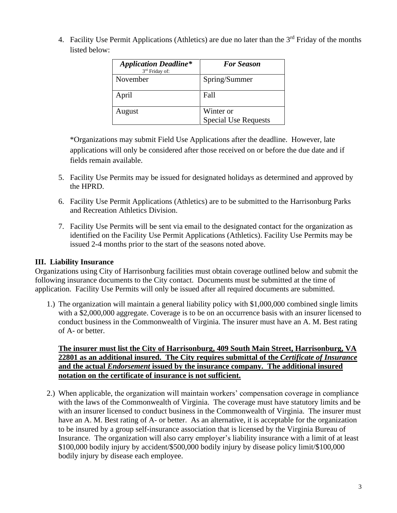4. Facility Use Permit Applications (Athletics) are due no later than the  $3<sup>rd</sup>$  Friday of the months listed below:

| <b>Application Deadline*</b><br>3rd Friday of: | <b>For Season</b>                        |
|------------------------------------------------|------------------------------------------|
| November                                       | Spring/Summer                            |
| April                                          | <b>Fall</b>                              |
| August                                         | Winter or<br><b>Special Use Requests</b> |

\*Organizations may submit Field Use Applications after the deadline. However, late applications will only be considered after those received on or before the due date and if fields remain available.

- 5. Facility Use Permits may be issued for designated holidays as determined and approved by the HPRD.
- 6. Facility Use Permit Applications (Athletics) are to be submitted to the Harrisonburg Parks and Recreation Athletics Division.
- 7. Facility Use Permits will be sent via email to the designated contact for the organization as identified on the Facility Use Permit Applications (Athletics). Facility Use Permits may be issued 2-4 months prior to the start of the seasons noted above.

### **III. Liability Insurance**

Organizations using City of Harrisonburg facilities must obtain coverage outlined below and submit the following insurance documents to the City contact. Documents must be submitted at the time of application. Facility Use Permits will only be issued after all required documents are submitted.

1.) The organization will maintain a general liability policy with \$1,000,000 combined single limits with a \$2,000,000 aggregate. Coverage is to be on an occurrence basis with an insurer licensed to conduct business in the Commonwealth of Virginia. The insurer must have an A. M. Best rating of A- or better.

**The insurer must list the City of Harrisonburg, 409 South Main Street, Harrisonburg, VA 22801 as an additional insured. The City requires submittal of the** *Certificate of Insurance* **and the actual** *Endorsement* **issued by the insurance company. The additional insured notation on the certificate of insurance is not sufficient.** 

2.) When applicable, the organization will maintain workers' compensation coverage in compliance with the laws of the Commonwealth of Virginia. The coverage must have statutory limits and be with an insurer licensed to conduct business in the Commonwealth of Virginia. The insurer must have an A. M. Best rating of A- or better. As an alternative, it is acceptable for the organization to be insured by a group self-insurance association that is licensed by the Virginia Bureau of Insurance. The organization will also carry employer's liability insurance with a limit of at least \$100,000 bodily injury by accident/\$500,000 bodily injury by disease policy limit/\$100,000 bodily injury by disease each employee.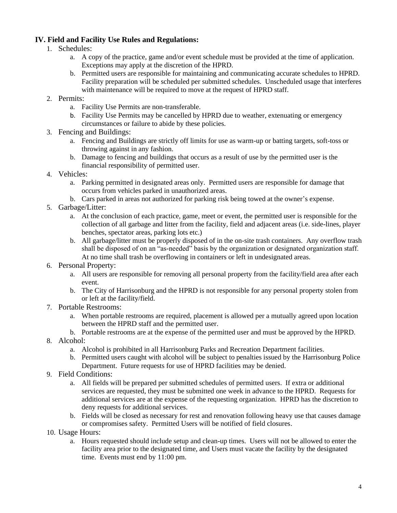#### **IV. Field and Facility Use Rules and Regulations:**

- 1. Schedules:
	- a. A copy of the practice, game and/or event schedule must be provided at the time of application. Exceptions may apply at the discretion of the HPRD.
	- b. Permitted users are responsible for maintaining and communicating accurate schedules to HPRD. Facility preparation will be scheduled per submitted schedules. Unscheduled usage that interferes with maintenance will be required to move at the request of HPRD staff.
- 2. Permits:
	- a. Facility Use Permits are non-transferable.
	- b. Facility Use Permits may be cancelled by HPRD due to weather, extenuating or emergency circumstances or failure to abide by these policies.
- 3. Fencing and Buildings:
	- a. Fencing and Buildings are strictly off limits for use as warm-up or batting targets, soft-toss or throwing against in any fashion.
	- b. Damage to fencing and buildings that occurs as a result of use by the permitted user is the financial responsibility of permitted user.
- 4. Vehicles:
	- a. Parking permitted in designated areas only. Permitted users are responsible for damage that occurs from vehicles parked in unauthorized areas.
	- b. Cars parked in areas not authorized for parking risk being towed at the owner's expense.
- 5. Garbage/Litter:
	- a. At the conclusion of each practice, game, meet or event, the permitted user is responsible for the collection of all garbage and litter from the facility, field and adjacent areas (i.e. side-lines, player benches, spectator areas, parking lots etc.)
	- b. All garbage/litter must be properly disposed of in the on-site trash containers. Any overflow trash shall be disposed of on an "as-needed" basis by the organization or designated organization staff. At no time shall trash be overflowing in containers or left in undesignated areas.
- 6. Personal Property:
	- a. All users are responsible for removing all personal property from the facility/field area after each event.
	- b. The City of Harrisonburg and the HPRD is not responsible for any personal property stolen from or left at the facility/field.
- 7. Portable Restrooms:
	- a. When portable restrooms are required, placement is allowed per a mutually agreed upon location between the HPRD staff and the permitted user.
	- b. Portable restrooms are at the expense of the permitted user and must be approved by the HPRD.
- 8. Alcohol:
	- a. Alcohol is prohibited in all Harrisonburg Parks and Recreation Department facilities.
	- b. Permitted users caught with alcohol will be subject to penalties issued by the Harrisonburg Police Department. Future requests for use of HPRD facilities may be denied.
- 9. Field Conditions:
	- a. All fields will be prepared per submitted schedules of permitted users. If extra or additional services are requested, they must be submitted one week in advance to the HPRD. Requests for additional services are at the expense of the requesting organization. HPRD has the discretion to deny requests for additional services.
	- b. Fields will be closed as necessary for rest and renovation following heavy use that causes damage or compromises safety. Permitted Users will be notified of field closures.
- 10. Usage Hours:
	- a. Hours requested should include setup and clean-up times. Users will not be allowed to enter the facility area prior to the designated time, and Users must vacate the facility by the designated time. Events must end by 11:00 pm.